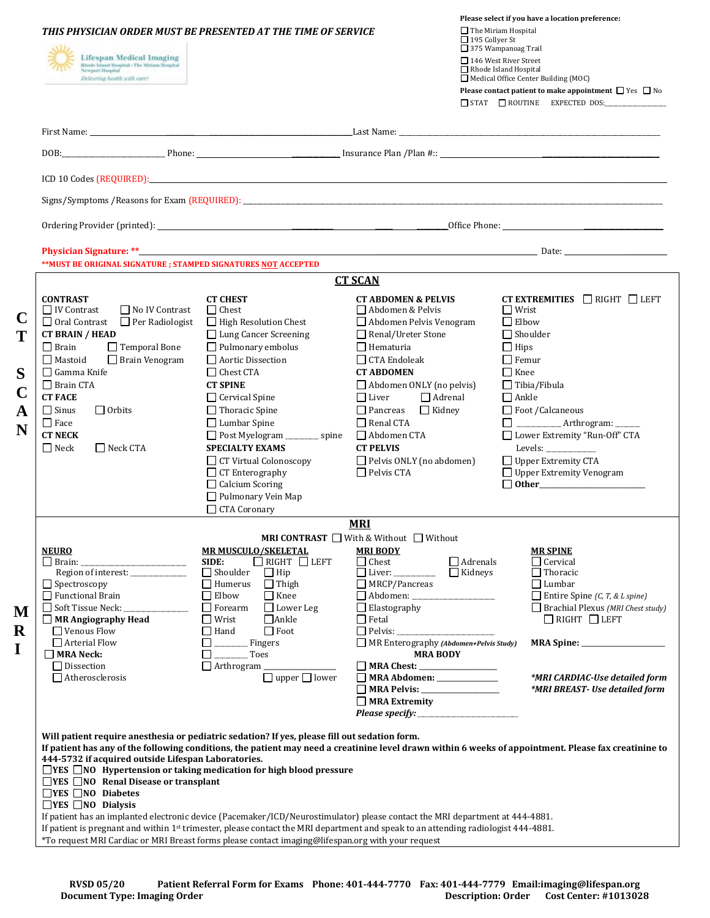|                                                                                        | THIS PHYSICIAN ORDER MUST BE PRESENTED AT THE TIME OF SERVICE<br><b>Lifespan Medical Imaging</b><br><b>Bloode Island Hospital - The Miriam Hospital</b><br><b>Newport Hospital</b><br>Delivering health with care!                                                                                                                                                                                                                                                                   |                                                                    |                                                                        | Please select if you have a location preference:<br>$\Box$ The Miriam Hospital<br>$\Box$ 195 Collyer St<br>□ 375 Wampanoag Trail<br>□ 146 West River Street<br>Rhode Island Hospital<br>$\Box$ Medical Office Center Building (MOC)<br>Please contact patient to make appointment $\Box$ Yes $\Box$ No<br>$\Box$ STAT $\Box$ ROUTINE EXPECTED DOS: |  |
|----------------------------------------------------------------------------------------|--------------------------------------------------------------------------------------------------------------------------------------------------------------------------------------------------------------------------------------------------------------------------------------------------------------------------------------------------------------------------------------------------------------------------------------------------------------------------------------|--------------------------------------------------------------------|------------------------------------------------------------------------|----------------------------------------------------------------------------------------------------------------------------------------------------------------------------------------------------------------------------------------------------------------------------------------------------------------------------------------------------|--|
|                                                                                        |                                                                                                                                                                                                                                                                                                                                                                                                                                                                                      |                                                                    |                                                                        |                                                                                                                                                                                                                                                                                                                                                    |  |
|                                                                                        | DOB: Phone: Plan Plan #:: Phone: Plan Plan #:: Phone: Phone: Plan Plan #:: Phone: Plan Plan #:: Phone: Plan Plan #:: Phone: Plan Plan #:: Phone: Plan Plan #:: Phone: Plan Plan #:: Phone: Plan Plan #:: Phone: Plan Plan #::                                                                                                                                                                                                                                                        |                                                                    |                                                                        |                                                                                                                                                                                                                                                                                                                                                    |  |
|                                                                                        | ICD 10 Codes (REQUIRED): Note that the contract of the contract of the contract of the contract of the contract of the contract of the contract of the contract of the contract of the contract of the contract of the contrac                                                                                                                                                                                                                                                       |                                                                    |                                                                        |                                                                                                                                                                                                                                                                                                                                                    |  |
|                                                                                        |                                                                                                                                                                                                                                                                                                                                                                                                                                                                                      |                                                                    |                                                                        |                                                                                                                                                                                                                                                                                                                                                    |  |
|                                                                                        |                                                                                                                                                                                                                                                                                                                                                                                                                                                                                      |                                                                    |                                                                        |                                                                                                                                                                                                                                                                                                                                                    |  |
|                                                                                        |                                                                                                                                                                                                                                                                                                                                                                                                                                                                                      |                                                                    |                                                                        |                                                                                                                                                                                                                                                                                                                                                    |  |
|                                                                                        | **MUST BE ORIGINAL SIGNATURE ; STAMPED SIGNATURES NOT ACCEPTED                                                                                                                                                                                                                                                                                                                                                                                                                       |                                                                    |                                                                        |                                                                                                                                                                                                                                                                                                                                                    |  |
| <b>CT SCAN</b><br><b>CONTRAST</b><br><b>CT CHEST</b><br><b>CT ABDOMEN &amp; PELVIS</b> |                                                                                                                                                                                                                                                                                                                                                                                                                                                                                      |                                                                    |                                                                        | CT EXTREMITIES $\Box$ RIGHT $\Box$ LEFT                                                                                                                                                                                                                                                                                                            |  |
| $\mathbf C$                                                                            | $\Box$ IV Contrast<br>□ No IV Contrast                                                                                                                                                                                                                                                                                                                                                                                                                                               | $\Box$ Chest                                                       | Abdomen & Pelvis                                                       | $\Box$ Wrist                                                                                                                                                                                                                                                                                                                                       |  |
|                                                                                        | $\Box$ Oral Contrast $\Box$ Per Radiologist<br><b>CT BRAIN / HEAD</b>                                                                                                                                                                                                                                                                                                                                                                                                                | □ High Resolution Chest<br>$\Box$ Lung Cancer Screening            | Abdomen Pelvis Venogram<br>$\Box$ Renal/Ureter Stone                   | $\Box$ Elbow<br>$\Box$ Shoulder                                                                                                                                                                                                                                                                                                                    |  |
|                                                                                        | Temporal Bone<br>$\Box$ Brain                                                                                                                                                                                                                                                                                                                                                                                                                                                        | $\Box$ Pulmonary embolus                                           | $\Box$ Hematuria                                                       | $\Box$ Hips                                                                                                                                                                                                                                                                                                                                        |  |
|                                                                                        | $\Box$ Mastoid<br>$\Box$ Brain Venogram                                                                                                                                                                                                                                                                                                                                                                                                                                              | $\Box$ Aortic Dissection                                           | $\Box$ CTA Endoleak                                                    | $\Box$ Femur                                                                                                                                                                                                                                                                                                                                       |  |
| S                                                                                      | $\Box$ Gamma Knife                                                                                                                                                                                                                                                                                                                                                                                                                                                                   | $\Box$ Chest CTA                                                   | <b>CT ABDOMEN</b>                                                      | $\Box$ Knee                                                                                                                                                                                                                                                                                                                                        |  |
|                                                                                        | $\Box$ Brain CTA<br><b>CT FACE</b>                                                                                                                                                                                                                                                                                                                                                                                                                                                   | <b>CT SPINE</b><br>□ Cervical Spine                                | $\Box$ Abdomen ONLY (no pelvis)<br>$\Box$ Adrenal<br>$\Box$ Liver      | $\Box$ Tibia/Fibula<br>$\Box$ Ankle                                                                                                                                                                                                                                                                                                                |  |
| A                                                                                      | $\Box$ Sinus<br>$\Box$ Orbits                                                                                                                                                                                                                                                                                                                                                                                                                                                        | $\Box$ Thoracic Spine                                              | $\Box$ Pancreas<br>$\Box$ Kidney                                       | $\Box$ Foot / Calcaneous                                                                                                                                                                                                                                                                                                                           |  |
| N                                                                                      | $\Box$ Face                                                                                                                                                                                                                                                                                                                                                                                                                                                                          | $\Box$ Lumbar Spine                                                | $\Box$ Renal CTA                                                       | □ ____________ Arthrogram: ______                                                                                                                                                                                                                                                                                                                  |  |
|                                                                                        | <b>CT NECK</b><br>$\Box$ Neck<br>$\Box$ Neck CTA                                                                                                                                                                                                                                                                                                                                                                                                                                     | □ Post Myelogram ________ spine<br><b>SPECIALTY EXAMS</b>          | □ Abdomen CTA<br><b>CT PELVIS</b>                                      | □ Lower Extremity "Run-Off" CTA                                                                                                                                                                                                                                                                                                                    |  |
|                                                                                        |                                                                                                                                                                                                                                                                                                                                                                                                                                                                                      | $\Box$ CT Virtual Colonoscopy                                      | Pelvis ONLY (no abdomen)                                               | □ Upper Extremity CTA                                                                                                                                                                                                                                                                                                                              |  |
|                                                                                        |                                                                                                                                                                                                                                                                                                                                                                                                                                                                                      | $\Box$ CT Enterography<br>$\Box$ Calcium Scoring                   | $\Box$ Pelvis CTA                                                      | $\Box$ Upper Extremity Venogram<br>$\Box$ Other                                                                                                                                                                                                                                                                                                    |  |
|                                                                                        |                                                                                                                                                                                                                                                                                                                                                                                                                                                                                      | $\Box$ Pulmonary Vein Map                                          |                                                                        |                                                                                                                                                                                                                                                                                                                                                    |  |
|                                                                                        |                                                                                                                                                                                                                                                                                                                                                                                                                                                                                      | CTA Coronary                                                       |                                                                        |                                                                                                                                                                                                                                                                                                                                                    |  |
|                                                                                        |                                                                                                                                                                                                                                                                                                                                                                                                                                                                                      |                                                                    | <b>MRI</b><br><b>MRI CONTRAST</b> $\Box$ With & Without $\Box$ Without |                                                                                                                                                                                                                                                                                                                                                    |  |
|                                                                                        | <b>NEURO</b>                                                                                                                                                                                                                                                                                                                                                                                                                                                                         | <b>MR MUSCULO/SKELETAL</b>                                         | <b>MRI BODY</b>                                                        | <b>MR SPINE</b>                                                                                                                                                                                                                                                                                                                                    |  |
|                                                                                        | Region of interest: ______________                                                                                                                                                                                                                                                                                                                                                                                                                                                   | $\Box$ RIGHT $\Box$ LEFT<br>SIDE:<br>$\Box$ Shoulder<br>$\Box$ Hip | $\Box$ Chest<br>□ Liver: <u>_______________</u> □ Kidneys              | $\Box$ Adrenals<br>$\Box$ Cervical<br>$\Box$ Thoracic                                                                                                                                                                                                                                                                                              |  |
|                                                                                        | $\Box$ Spectroscopy                                                                                                                                                                                                                                                                                                                                                                                                                                                                  | $\Box$ Humerus $\Box$ Thigh                                        | $\Box$ MRCP/Pancreas                                                   | $\Box$ Lumbar                                                                                                                                                                                                                                                                                                                                      |  |
|                                                                                        | $\Box$ Functional Brain<br>Soft Tissue Neck: ______________                                                                                                                                                                                                                                                                                                                                                                                                                          | $\Box$ Elbow<br>$\Box$ Knee<br>$\Box$ Forearm<br>Lower Leg         | $\Box$ Elastography                                                    | $\Box$ Entire Spine (C, T, & L spine)<br>$\Box$ Brachial Plexus (MRI Chest study)                                                                                                                                                                                                                                                                  |  |
| M                                                                                      | $\Box$ MR Angiography Head                                                                                                                                                                                                                                                                                                                                                                                                                                                           | $\Box$ Wrist<br>$\Box$ Ankle                                       | $\Box$ Fetal                                                           | $\Box$ RIGHT $\Box$ LEFT                                                                                                                                                                                                                                                                                                                           |  |
| $\bf R$                                                                                | $\Box$ Venous Flow<br>$\Box$ Arterial Flow                                                                                                                                                                                                                                                                                                                                                                                                                                           | $\Box$ Foot<br>$\Box$ Hand<br>Fingers<br>$\Box$                    | MR Enterography (Abdomen+Pelvis Study)                                 |                                                                                                                                                                                                                                                                                                                                                    |  |
| I                                                                                      | $\Box$ MRA Neck:                                                                                                                                                                                                                                                                                                                                                                                                                                                                     | Toes<br>$\Box$                                                     | <b>MRA BODY</b>                                                        |                                                                                                                                                                                                                                                                                                                                                    |  |
|                                                                                        | $\Box$ Dissection<br>$\Box$ Atherosclerosis                                                                                                                                                                                                                                                                                                                                                                                                                                          | Arthrogram _______________<br>$\Box$ upper $\Box$ lower            | MRA Chest: __________________                                          | *MRI CARDIAC-Use detailed form                                                                                                                                                                                                                                                                                                                     |  |
|                                                                                        |                                                                                                                                                                                                                                                                                                                                                                                                                                                                                      |                                                                    | MRA Abdomen: _______________<br>MRA Pelvis: __________________         | *MRI BREAST- Use detailed form                                                                                                                                                                                                                                                                                                                     |  |
|                                                                                        |                                                                                                                                                                                                                                                                                                                                                                                                                                                                                      |                                                                    | $\Box$ MRA Extremity                                                   |                                                                                                                                                                                                                                                                                                                                                    |  |
|                                                                                        |                                                                                                                                                                                                                                                                                                                                                                                                                                                                                      |                                                                    |                                                                        |                                                                                                                                                                                                                                                                                                                                                    |  |
|                                                                                        | Will patient require anesthesia or pediatric sedation? If yes, please fill out sedation form.<br>If patient has any of the following conditions, the patient may need a creatinine level drawn within 6 weeks of appointment. Please fax creatinine to<br>444-5732 if acquired outside Lifespan Laboratories.<br>$\Box$ YES $\Box$ NO Hypertension or taking medication for high blood pressure<br>$\Box$ YES $\Box$ NO Renal Disease or transplant<br>$\Box$ YES $\Box$ NO Diabetes |                                                                    |                                                                        |                                                                                                                                                                                                                                                                                                                                                    |  |
|                                                                                        | $\Box$ YES $\Box$ NO Dialysis<br>If patient has an implanted electronic device (Pacemaker/ICD/Neurostimulator) please contact the MRI department at 444-4881.                                                                                                                                                                                                                                                                                                                        |                                                                    |                                                                        |                                                                                                                                                                                                                                                                                                                                                    |  |
|                                                                                        | If patient is pregnant and within 1 <sup>st</sup> trimester, please contact the MRI department and speak to an attending radiologist 444-4881.<br>*To request MRI Cardiac or MRI Breast forms please contact imaging@lifespan.org with your request                                                                                                                                                                                                                                  |                                                                    |                                                                        |                                                                                                                                                                                                                                                                                                                                                    |  |
|                                                                                        |                                                                                                                                                                                                                                                                                                                                                                                                                                                                                      |                                                                    |                                                                        |                                                                                                                                                                                                                                                                                                                                                    |  |